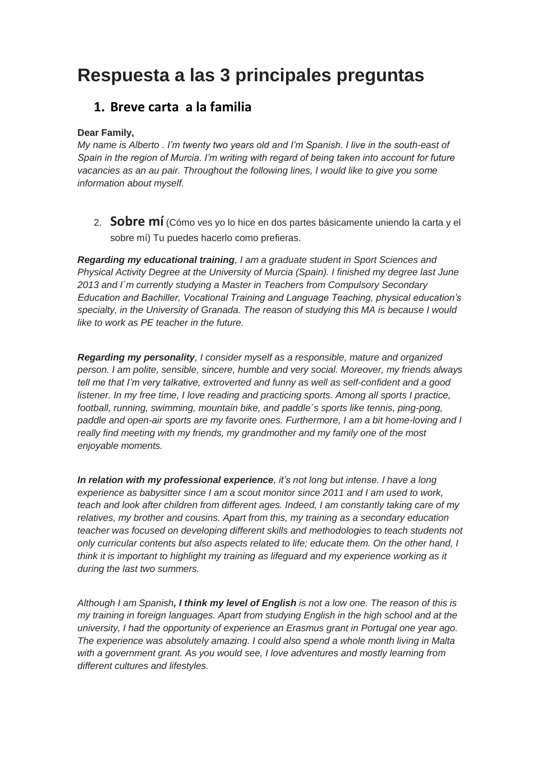## **Respuesta a las 3 principales preguntas**

## **1. Breve carta a la familia**

## **Dear Family,**

*My name is Alberto . I'm twenty two years old and I'm Spanish. I live in the south-east of Spain in the region of Murcia. I'm writing with regard of being taken into account for future vacancies as an au pair. Throughout the following lines, I would like to give you some information about myself.*

2. **Sobre mí** (Cómo ves yo lo hice en dos partes básicamente uniendo la carta y el sobre mí) Tu puedes hacerlo como prefieras.

*Regarding my educational training, I am a graduate student in Sport Sciences and Physical Activity Degree at the University of Murcia (Spain). I finished my degree last June 2013 and I´m currently studying a Master in Teachers from Compulsory Secondary Education and Bachiller, Vocational Training and Language Teaching, physical education's specialty, in the University of Granada. The reason of studying this MA is because I would like to work as PE teacher in the future.*

*Regarding my personality, I consider myself as a responsible, mature and organized person. I am polite, sensible, sincere, humble and very social. Moreover, my friends always tell me that I'm very talkative, extroverted and funny as well as self-confident and a good listener. In my free time, I love reading and practicing sports. Among all sports I practice, football, running, swimming, mountain bike, and paddle´s sports like tennis, ping-pong, paddle and open-air sports are my favorite ones. Furthermore, I am a bit home-loving and I really find meeting with my friends, my grandmother and my family one of the most enjoyable moments.*

*In relation with my professional experience, it's not long but intense. I have a long experience as babysitter since I am a scout monitor since 2011 and I am used to work, teach and look after children from different ages. Indeed, I am constantly taking care of my relatives, my brother and cousins. Apart from this, my training as a secondary education teacher was focused on developing different skills and methodologies to teach students not only curricular contents but also aspects related to life; educate them. On the other hand, I think it is important to highlight my training as lifeguard and my experience working as it during the last two summers.*

*Although I am Spanish, I think my level of English is not a low one. The reason of this is my training in foreign languages. Apart from studying English in the high school and at the university, I had the opportunity of experience an Erasmus grant in Portugal one year ago. The experience was absolutely amazing. I could also spend a whole month living in Malta with a government grant. As you would see, I love adventures and mostly learning from different cultures and lifestyles.*